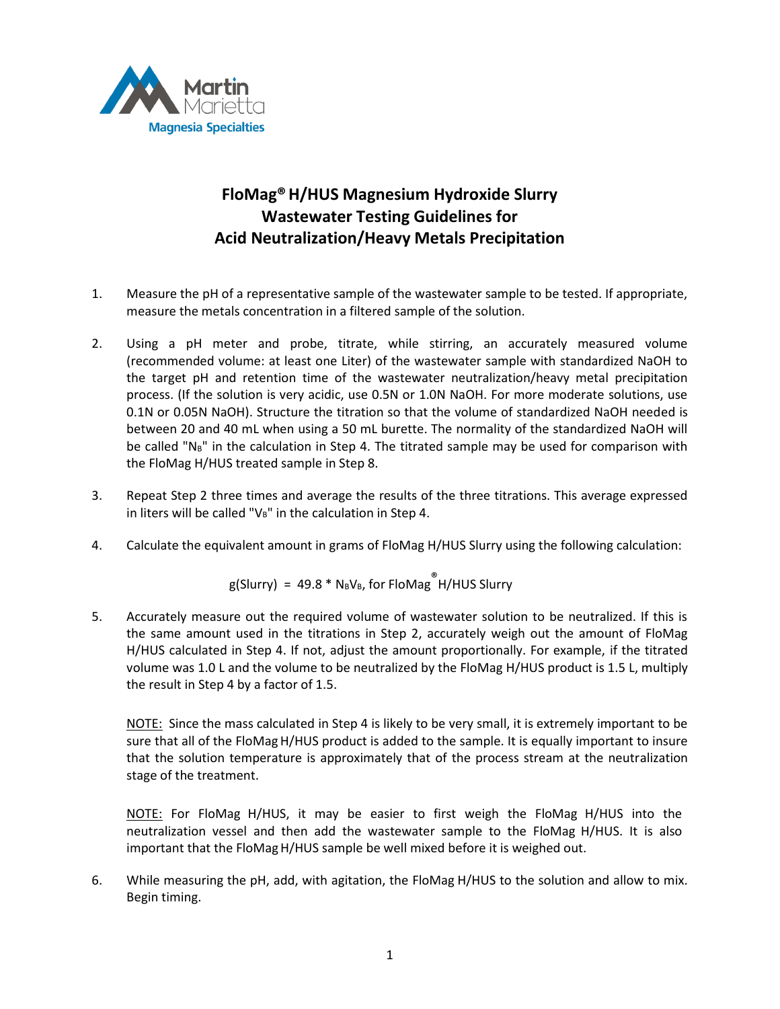

## **FloMag®H/HUS Magnesium Hydroxide Slurry Wastewater Testing Guidelines for Acid Neutralization/Heavy Metals Precipitation**

- 1. Measure the pH of a representative sample of the wastewater sample to be tested. If appropriate, measure the metals concentration in a filtered sample of the solution.
- 2. Using a pH meter and probe, titrate, while stirring, an accurately measured volume (recommended volume: at least one Liter) of the wastewater sample with standardized NaOH to the target pH and retention time of the wastewater neutralization/heavy metal precipitation process. (If the solution is very acidic, use 0.5N or 1.0N NaOH. For more moderate solutions, use 0.1N or 0.05N NaOH). Structure the titration so that the volume of standardized NaOH needed is between 20 and 40 mL when using a 50 mL burette. The normality of the standardized NaOH will be called " $N_B$ " in the calculation in Step 4. The titrated sample may be used for comparison with the FloMag H/HUS treated sample in Step 8.
- 3. Repeat Step 2 three times and average the results of the three titrations. This average expressed in liters will be called " $V_B$ " in the calculation in Step 4.
- 4. Calculate the equivalent amount in grams of FloMag H/HUS Slurry using the following calculation:

 $g(Slurry) = 49.8 * N_BV_B$ , for FloMag H/HUS Slurry

5. Accurately measure out the required volume of wastewater solution to be neutralized. If this is the same amount used in the titrations in Step 2, accurately weigh out the amount of FloMag H/HUS calculated in Step 4. If not, adjust the amount proportionally. For example, if the titrated volume was 1.0 L and the volume to be neutralized by the FloMag H/HUS product is 1.5 L, multiply the result in Step 4 by a factor of 1.5.

NOTE: Since the mass calculated in Step 4 is likely to be very small, it is extremely important to be sure that all of the FloMag H/HUS product is added to the sample. It is equally important to insure that the solution temperature is approximately that of the process stream at the neutralization stage of the treatment.

NOTE: For FloMag H/HUS, it may be easier to first weigh the FloMag H/HUS into the neutralization vessel and then add the wastewater sample to the FloMag H/HUS. It is also important that the FloMag H/HUS sample be well mixed before it is weighed out.

6. While measuring the pH, add, with agitation, the FloMag H/HUS to the solution and allow to mix. Begin timing.